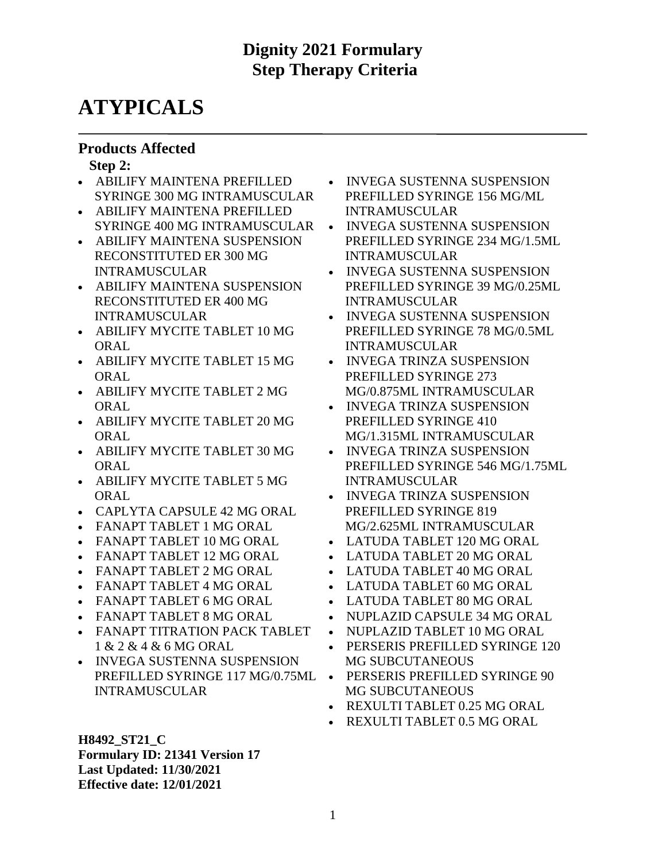# **ATYPICALS**

### **Products Affected**

#### **Step 2:**

- ABILIFY MAINTENA PREFILLED SYRINGE 300 MG INTRAMUSCULAR
- ABILIFY MAINTENA PREFILLED SYRINGE 400 MG INTRAMUSCULAR
- ABILIFY MAINTENA SUSPENSION RECONSTITUTED ER 300 MG INTRAMUSCULAR
- ABILIFY MAINTENA SUSPENSION RECONSTITUTED ER 400 MG INTRAMUSCULAR
- ABILIFY MYCITE TABLET 10 MG **ORAL**
- ABILIFY MYCITE TABLET 15 MG ORAL
- ABILIFY MYCITE TABLET 2 MG **ORAL**
- ABILIFY MYCITE TABLET 20 MG **ORAL**
- ABILIFY MYCITE TABLET 30 MG ORAL
- ABILIFY MYCITE TABLET 5 MG ORAL
- CAPLYTA CAPSULE 42 MG ORAL
- FANAPT TABLET 1 MG ORAL
- FANAPT TABLET 10 MG ORAL
- FANAPT TABLET 12 MG ORAL
- FANAPT TABLET 2 MG ORAL
- FANAPT TABLET 4 MG ORAL
- FANAPT TABLET 6 MG ORAL
- FANAPT TABLET 8 MG ORAL
- FANAPT TITRATION PACK TABLET 1 & 2 & 4 & 6 MG ORAL
- INVEGA SUSTENNA SUSPENSION PREFILLED SYRINGE 117 MG/0.75ML INTRAMUSCULAR
- INVEGA SUSTENNA SUSPENSION PREFILLED SYRINGE 156 MG/ML INTRAMUSCULAR
- INVEGA SUSTENNA SUSPENSION PREFILLED SYRINGE 234 MG/1.5ML INTRAMUSCULAR
- INVEGA SUSTENNA SUSPENSION PREFILLED SYRINGE 39 MG/0.25ML INTRAMUSCULAR
- INVEGA SUSTENNA SUSPENSION PREFILLED SYRINGE 78 MG/0.5ML INTRAMUSCULAR
- INVEGA TRINZA SUSPENSION PREFILLED SYRINGE 273 MG/0.875ML INTRAMUSCULAR
- INVEGA TRINZA SUSPENSION PREFILLED SYRINGE 410 MG/1.315ML INTRAMUSCULAR
- INVEGA TRINZA SUSPENSION PREFILLED SYRINGE 546 MG/1.75ML INTRAMUSCULAR
- INVEGA TRINZA SUSPENSION PREFILLED SYRINGE 819 MG/2.625ML INTRAMUSCULAR
- LATUDA TABLET 120 MG ORAL
- LATUDA TABLET 20 MG ORAL
- LATUDA TABLET 40 MG ORAL
- LATUDA TABLET 60 MG ORAL
- LATUDA TABLET 80 MG ORAL
- NUPLAZID CAPSULE 34 MG ORAL
- NUPLAZID TABLET 10 MG ORAL
- PERSERIS PREFILLED SYRINGE 120 MG SUBCUTANEOUS
- PERSERIS PREFILLED SYRINGE 90 MG SUBCUTANEOUS
- REXULTI TABLET 0.25 MG ORAL
- REXULTI TABLET 0.5 MG ORAL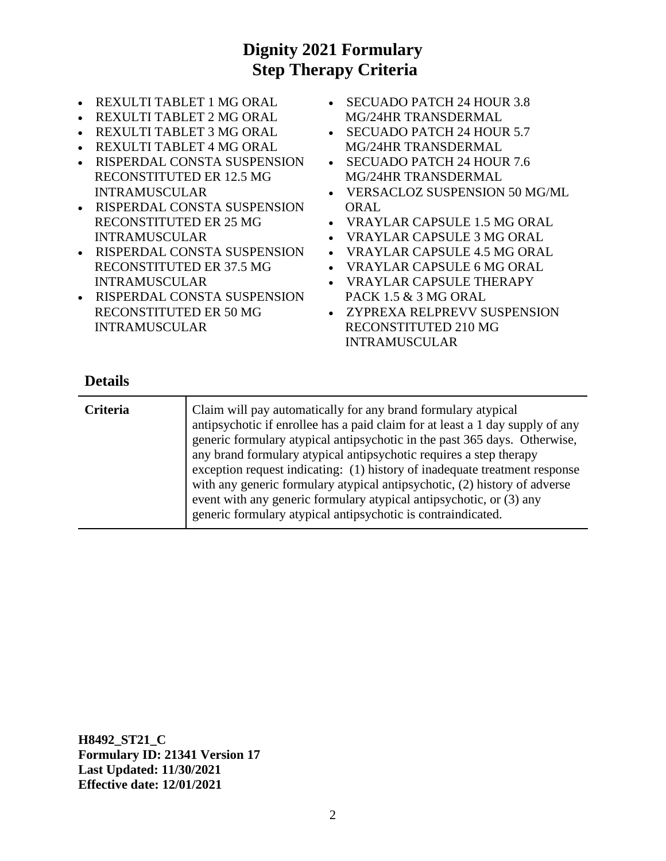- REXULTI TABLET 1 MG ORAL
- REXULTI TABLET 2 MG ORAL
- REXULTI TABLET 3 MG ORAL
- REXULTI TABLET 4 MG ORAL
- RISPERDAL CONSTA SUSPENSION RECONSTITUTED ER 12.5 MG INTRAMUSCULAR
- RISPERDAL CONSTA SUSPENSION RECONSTITUTED ER 25 MG INTRAMUSCULAR
- RISPERDAL CONSTA SUSPENSION RECONSTITUTED ER 37.5 MG INTRAMUSCULAR
- RISPERDAL CONSTA SUSPENSION RECONSTITUTED ER 50 MG INTRAMUSCULAR
- SECUADO PATCH 24 HOUR 3.8 MG/24HR TRANSDERMAL
- SECUADO PATCH 24 HOUR 5.7 MG/24HR TRANSDERMAL
- SECUADO PATCH 24 HOUR 7.6 MG/24HR TRANSDERMAL
- VERSACLOZ SUSPENSION 50 MG/ML ORAL
- VRAYLAR CAPSULE 1.5 MG ORAL
- VRAYLAR CAPSULE 3 MG ORAL
- VRAYLAR CAPSULE 4.5 MG ORAL
- VRAYLAR CAPSULE 6 MG ORAL
- VRAYLAR CAPSULE THERAPY PACK 1.5 & 3 MG ORAL
- ZYPREXA RELPREVV SUSPENSION RECONSTITUTED 210 MG INTRAMUSCULAR

#### **Details**

| <b>Criteria</b> | Claim will pay automatically for any brand formulary atypical<br>antipsychotic if enrollee has a paid claim for at least a 1 day supply of any<br>generic formulary atypical antipsychotic in the past 365 days. Otherwise,<br>any brand formulary atypical antipsychotic requires a step therapy<br>exception request indicating: (1) history of inadequate treatment response<br>with any generic formulary atypical antipsychotic, (2) history of adverse<br>event with any generic formulary atypical antipsychotic, or (3) any<br>generic formulary atypical antipsychotic is contraindicated. |
|-----------------|-----------------------------------------------------------------------------------------------------------------------------------------------------------------------------------------------------------------------------------------------------------------------------------------------------------------------------------------------------------------------------------------------------------------------------------------------------------------------------------------------------------------------------------------------------------------------------------------------------|
|                 |                                                                                                                                                                                                                                                                                                                                                                                                                                                                                                                                                                                                     |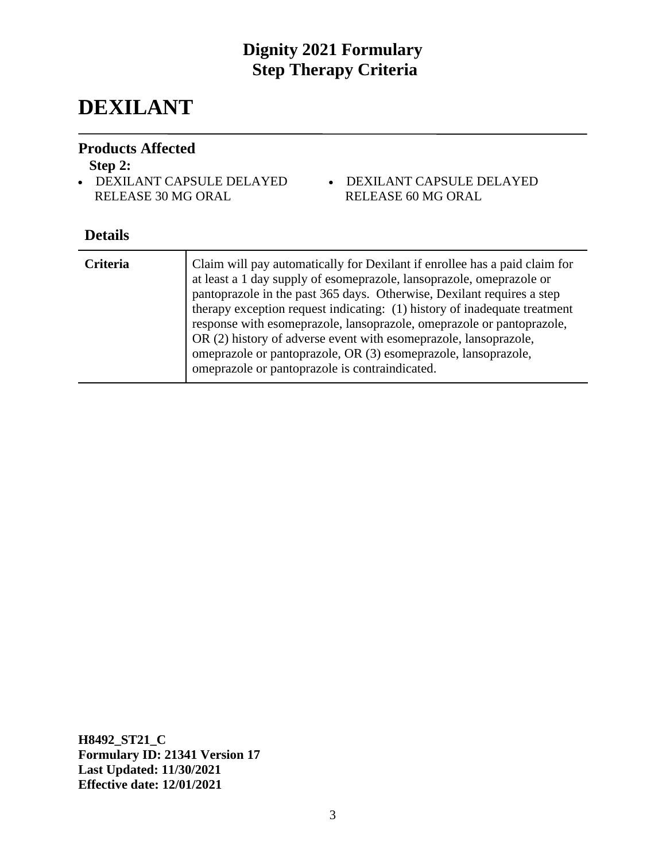# **DEXILANT**

### **Products Affected**

#### **Step 2:**

- DEXILANT CAPSULE DELAYED RELEASE 30 MG ORAL
- DEXILANT CAPSULE DELAYED RELEASE 60 MG ORAL

## **Details**

| <b>Criteria</b> | Claim will pay automatically for Dexilant if enrollee has a paid claim for<br>at least a 1 day supply of esomeprazole, lansoprazole, omeprazole or<br>pantoprazole in the past 365 days. Otherwise, Dexilant requires a step<br>therapy exception request indicating: (1) history of inadequate treatment<br>response with esomeprazole, lansoprazole, omeprazole or pantoprazole,<br>OR (2) history of adverse event with esomeprazole, lansoprazole,<br>omeprazole or pantoprazole, OR (3) esomeprazole, lansoprazole,<br>omeprazole or pantoprazole is contraindicated. |
|-----------------|----------------------------------------------------------------------------------------------------------------------------------------------------------------------------------------------------------------------------------------------------------------------------------------------------------------------------------------------------------------------------------------------------------------------------------------------------------------------------------------------------------------------------------------------------------------------------|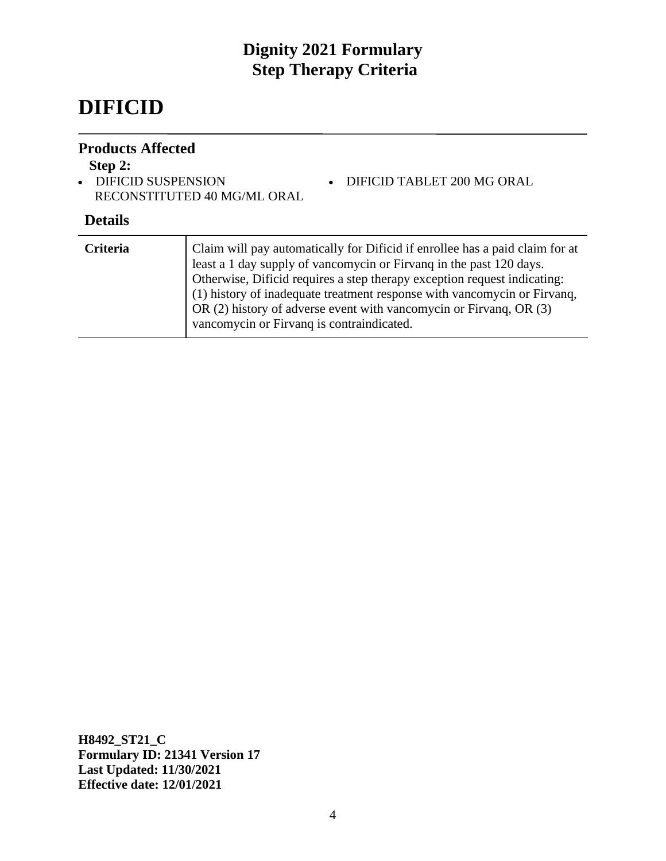# **DIFICID**

### **Products Affected**

## **Step 2:**

• DIFICID SUSPENSION RECONSTITUTED 40 MG/ML ORAL

### **Details**

| <b>Criteria</b> | Claim will pay automatically for Dificid if enrollee has a paid claim for at<br>least a 1 day supply of vancomycin or Firvang in the past 120 days.<br>Otherwise, Dificid requires a step therapy exception request indicating:<br>(1) history of inadequate treatment response with vancomycin or Firvanq,<br>OR (2) history of adverse event with vancomycin or Firvang, OR (3)<br>vancomycin or Firvang is contraindicated. |
|-----------------|--------------------------------------------------------------------------------------------------------------------------------------------------------------------------------------------------------------------------------------------------------------------------------------------------------------------------------------------------------------------------------------------------------------------------------|
|                 |                                                                                                                                                                                                                                                                                                                                                                                                                                |

• DIFICID TABLET 200 MG ORAL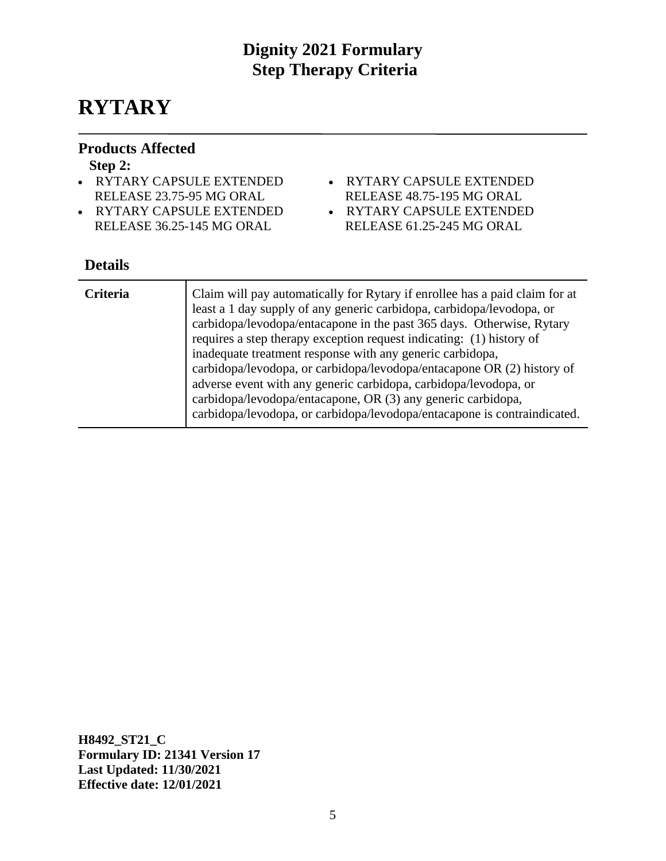# **RYTARY**

### **Products Affected**

#### **Step 2:**

- RYTARY CAPSULE EXTENDED RELEASE 23.75-95 MG ORAL
- RYTARY CAPSULE EXTENDED RELEASE 36.25-145 MG ORAL
- RYTARY CAPSULE EXTENDED
	- RELEASE 48.75-195 MG ORAL
- RYTARY CAPSULE EXTENDED
- RELEASE 61.25-245 MG ORAL

## **Details**

| <b>Criteria</b> | Claim will pay automatically for Rytary if enrollee has a paid claim for at<br>least a 1 day supply of any generic carbidopa, carbidopa/levodopa, or<br>carbidopa/levodopa/entacapone in the past 365 days. Otherwise, Rytary<br>requires a step therapy exception request indicating: (1) history of<br>inadequate treatment response with any generic carbidopa,<br>carbidopa/levodopa, or carbidopa/levodopa/entacapone OR (2) history of<br>adverse event with any generic carbidopa, carbidopa/levodopa, or<br>carbidopa/levodopa/entacapone, OR (3) any generic carbidopa,<br>carbidopa/levodopa, or carbidopa/levodopa/entacapone is contraindicated. |
|-----------------|--------------------------------------------------------------------------------------------------------------------------------------------------------------------------------------------------------------------------------------------------------------------------------------------------------------------------------------------------------------------------------------------------------------------------------------------------------------------------------------------------------------------------------------------------------------------------------------------------------------------------------------------------------------|
|-----------------|--------------------------------------------------------------------------------------------------------------------------------------------------------------------------------------------------------------------------------------------------------------------------------------------------------------------------------------------------------------------------------------------------------------------------------------------------------------------------------------------------------------------------------------------------------------------------------------------------------------------------------------------------------------|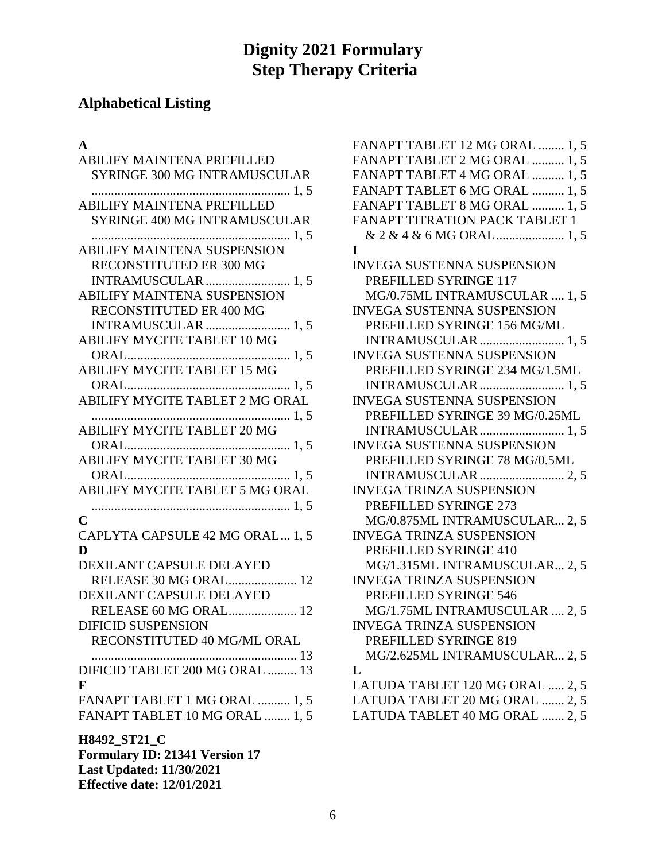# **Alphabetical Listing**

## **A**

| ABILIFY MAINTENA PREFILLED                 |
|--------------------------------------------|
| <b>SYRINGE 300 MG INTRAMUSCULAR</b>        |
| <b>ABILIFY MAINTENA PREFILLED</b>          |
| <b>SYRINGE 400 MG INTRAMUSCULAR</b>        |
|                                            |
| <b>ABILIFY MAINTENA SUSPENSION</b>         |
| RECONSTITUTED ER 300 MG                    |
| <b>INTRAMUSCULAR</b> 1, 5                  |
| <b>ABILIFY MAINTENA SUSPENSION</b>         |
| <b>RECONSTITUTED ER 400 MG</b>             |
| <b>INTRAMUSCULAR</b> 1, 5                  |
| <b>ABILIFY MYCITE TABLET 10 MG</b>         |
| 1. 5<br><b>ABILIFY MYCITE TABLET 15 MG</b> |
|                                            |
| ABILIFY MYCITE TABLET 2 MG ORAL            |
|                                            |
| 1, 5<br><b>ABILIFY MYCITE TABLET 20 MG</b> |
|                                            |
| <b>ABILIFY MYCITE TABLET 30 MG</b>         |
|                                            |
| ABILIFY MYCITE TABLET 5 MG ORAL            |
|                                            |
| C                                          |
| CAPLYTA CAPSULE 42 MG ORAL 1, 5            |
| D                                          |
| DEXILANT CAPSULE DELAYED                   |
| RELEASE 30 MG ORAL 12                      |
| <b>DEXILANT CAPSULE DELAYED</b>            |
| RELEASE 60 MG ORAL 12                      |
| <b>DIFICID SUSPENSION</b>                  |
| RECONSTITUTED 40 MG/ML ORAL                |
| 13                                         |
| DIFICID TABLET 200 MG ORAL  13             |
| F                                          |
| FANAPT TABLET 1 MG ORAL  1, 5              |
| FANAPT TABLET 10 MG ORAL  1, 5             |
| H8492_ST21_C                               |
| <b>Formulary ID: 21341 Version 17</b>      |
| <b>Last Updated: 11/30/2021</b>            |

**Effective date: 12/01/2021**

| FANAPT TABLET 12 MG ORAL  1, 5    |
|-----------------------------------|
| FANAPT TABLET 2 MG ORAL  1, 5     |
| FANAPT TABLET 4 MG ORAL  1, 5     |
| FANAPT TABLET 6 MG ORAL  1, 5     |
| FANAPT TABLET 8 MG ORAL  1, 5     |
| FANAPT TITRATION PACK TABLET 1    |
|                                   |
| I                                 |
| <b>INVEGA SUSTENNA SUSPENSION</b> |
| PREFILLED SYRINGE 117             |
| MG/0.75ML INTRAMUSCULAR  1, 5     |
| <b>INVEGA SUSTENNA SUSPENSION</b> |
| PREFILLED SYRINGE 156 MG/ML       |
|                                   |
| <b>INVEGA SUSTENNA SUSPENSION</b> |
| PREFILLED SYRINGE 234 MG/1.5ML    |
| INTRAMUSCULAR  1, 5               |
| <b>INVEGA SUSTENNA SUSPENSION</b> |
| PREFILLED SYRINGE 39 MG/0.25ML    |
| INTRAMUSCULAR  1, 5               |
| INVEGA SUSTENNA SUSPENSION        |
| PREFILLED SYRINGE 78 MG/0.5ML     |
|                                   |
| <b>INVEGA TRINZA SUSPENSION</b>   |
| PREFILLED SYRINGE 273             |
| MG/0.875ML INTRAMUSCULAR 2, 5     |
| INVEGA TRINZA SUSPENSION          |
| PREFILLED SYRINGE 410             |
| MG/1.315ML INTRAMUSCULAR 2, 5     |
| <b>INVEGA TRINZA SUSPENSION</b>   |
| PREFILLED SYRINGE 546             |
| MG/1.75ML INTRAMUSCULAR  2, 5     |
| INVEGA TRINZA SUSPENSION          |
| PREFILLED SYRINGE 819             |
| MG/2.625ML INTRAMUSCULAR 2, 5     |
| L                                 |
| LATUDA TABLET 120 MG ORAL  2, 5   |
| LATUDA TABLET 20 MG ORAL  2, 5    |
| LATUDA TABLET 40 MG ORAL  2, 5    |
|                                   |